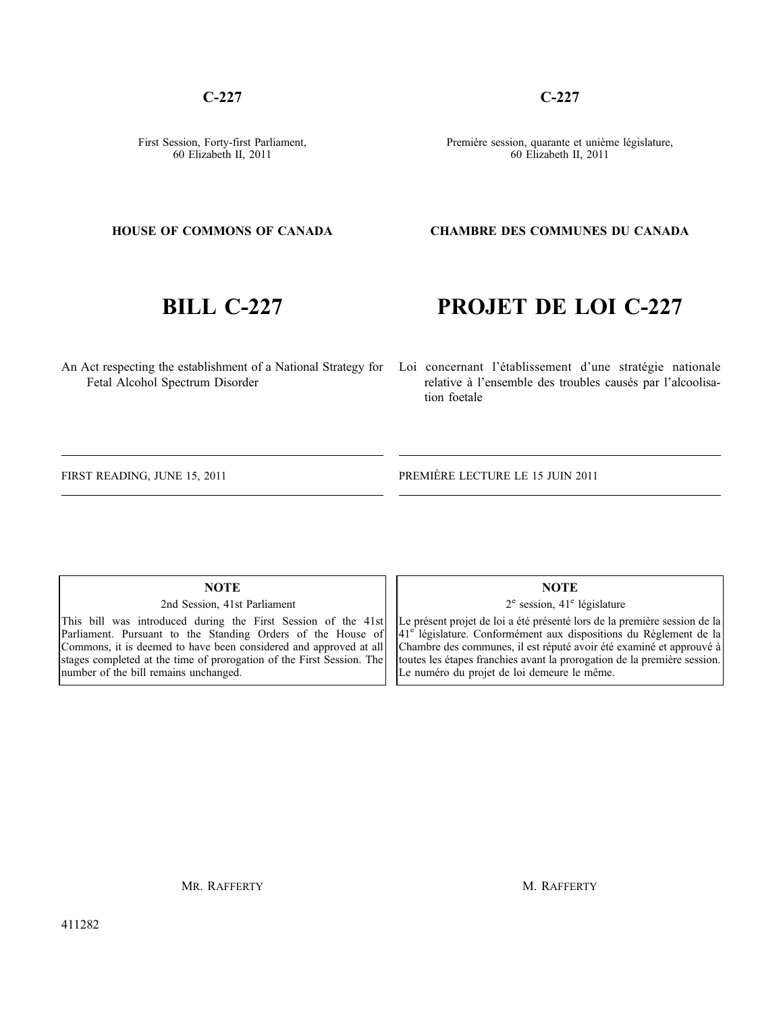411282

MR. RAFFERTY

# 60 Elizabeth II, 2011

#### **HOUSE OF COMMONS OF CANADA**

**C-227**

First Session, Forty-first Parliament,

## **BILL C-227**

# **PROJET DE LOI C-227**

An Act respecting the establishment of a National Strategy for Loi concernant l'établissement d'une stratégie nationale relative à l'ensemble des troubles causés par l'alcoolisation foetale

FIRST READING, JUNE 15, 2011

Fetal Alcohol Spectrum Disorder

PREMIÈRE LECTURE LE 15 JUIN 2011

**NOTE**

2nd Session, 41st Parliament

This bill was introduced during the First Session of the 41st Parliament. Pursuant to the Standing Orders of the House of Commons, it is deemed to have been considered and approved at all stages completed at the time of prorogation of the First Session. The number of the bill remains unchanged.

#### **NOTE**

 $2^e$  session,  $41^e$  législature

Le présent projet de loi a été présenté lors de la première session de la 41<sup>e</sup> législature. Conformément aux dispositions du Règlement de la Chambre des communes, il est réputé avoir été examiné et approuvé à toutes les étapes franchies avant la prorogation de la première session. Le numéro du projet de loi demeure le même.

M. RAFFERTY

**CHAMBRE DES COMMUNES DU CANADA**

#### Première session, quarante et unième législature, 60 Elizabeth II, 2011

**C-227**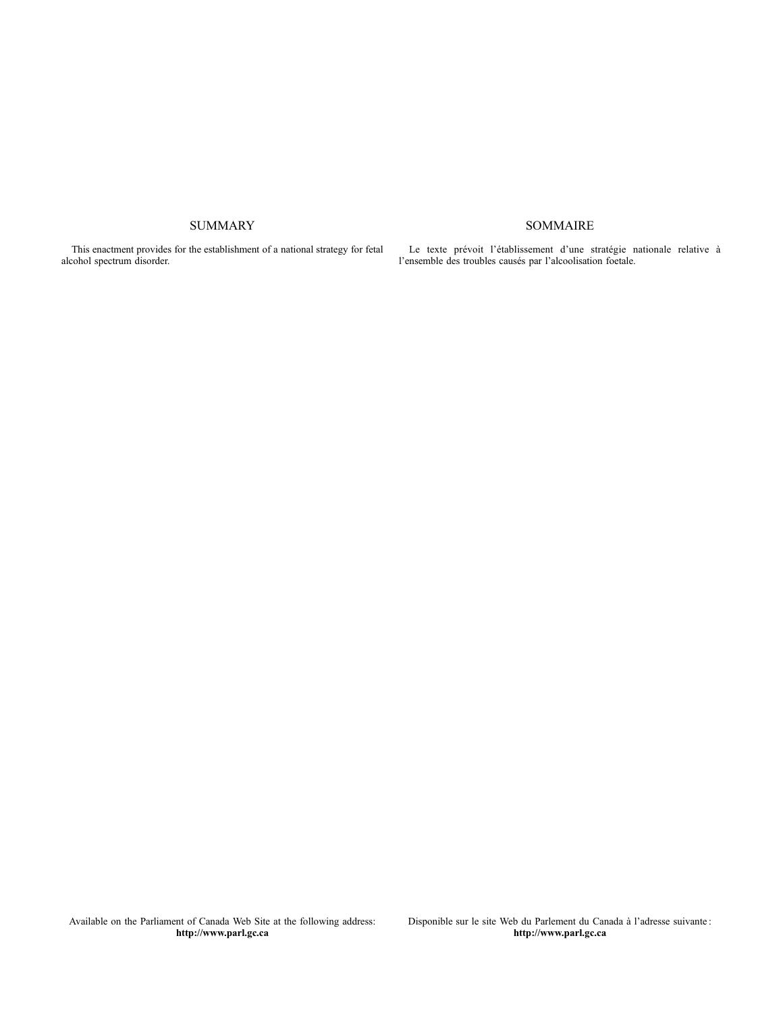#### SUMMARY

This enactment provides for the establishment of a national strategy for fetal alcohol spectrum disorder.

Le texte prévoit l'établissement d'une stratégie nationale relative à l'ensemble des troubles causés par l'alcoolisation foetale.

SOMMAIRE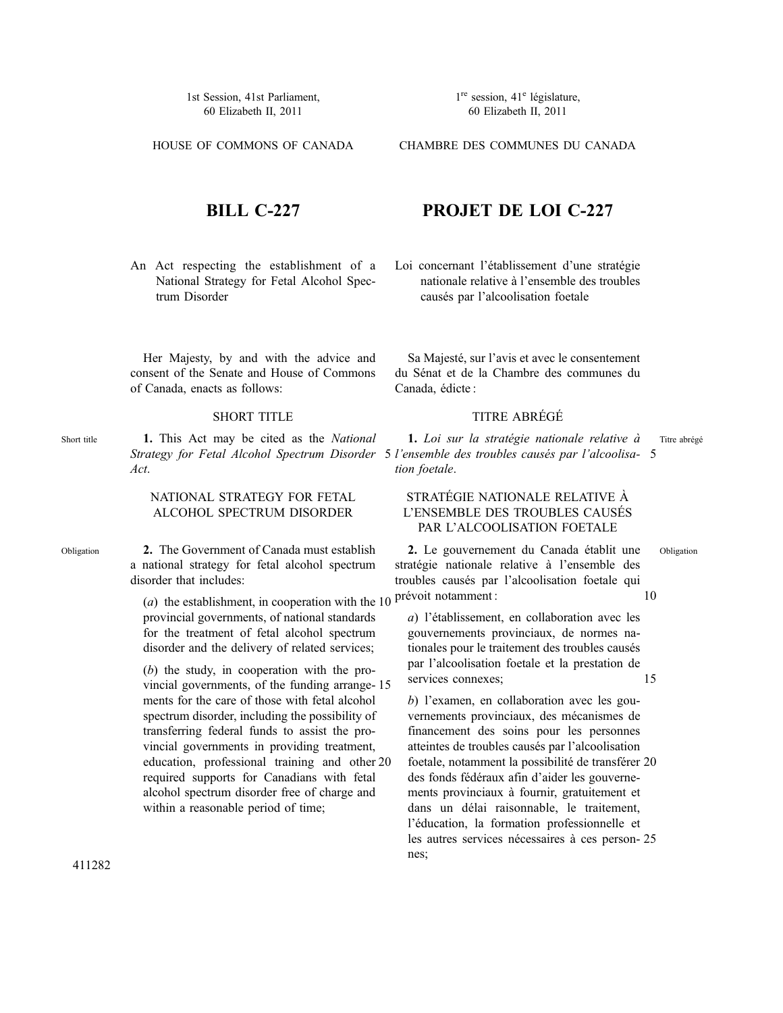1st Session, 41st Parliament, 60 Elizabeth II, 2011

HOUSE OF COMMONS OF CANADA

 $1^{\text{re}}$  session,  $41^{\text{e}}$  législature, 60 Elizabeth II, 2011

CHAMBRE DES COMMUNES DU CANADA

#### **BILL C-227**

An Act respecting the establishment of a National Strategy for Fetal Alcohol Spectrum Disorder

Her Majesty, by and with the advice and consent of the Senate and House of Commons of Canada, enacts as follows:

#### SHORT TITLE

**1.** This Act may be cited as the *National Act*.

#### NATIONAL STRATEGY FOR FETAL ALCOHOL SPECTRUM DISORDER

**2.** The Government of Canada must establish a national strategy for fetal alcohol spectrum disorder that includes:

> (*a*) the establishment, in cooperation with the 10 provincial governments, of national standards for the treatment of fetal alcohol spectrum disorder and the delivery of related services;

> (*b*) the study, in cooperation with the provincial governments, of the funding arrange-15 ments for the care of those with fetal alcohol spectrum disorder, including the possibility of transferring federal funds to assist the provincial governments in providing treatment, education, professional training and other 20 required supports for Canadians with fetal alcohol spectrum disorder free of charge and within a reasonable period of time;

#### **PROJET DE LOI C-227**

Loi concernant l'établissement d'une stratégie nationale relative à l'ensemble des troubles causés par l'alcoolisation foetale

Sa Majesté, sur l'avis et avec le consentement du Sénat et de la Chambre des communes du Canada, édicte :

#### TITRE ABRÉGÉ

*Strategy for Fetal Alcohol Spectrum Disorder l'ensemble des troubles causés par l'alcoolisa-*5 5 **1.** *Loi sur la stratégie nationale relative à tion foetale*. Titre abrégé

#### STRATÉGIE NATIONALE RELATIVE À L'ENSEMBLE DES TROUBLES CAUSÉS PAR L'ALCOOLISATION FOETALE

**2.** Le gouvernement du Canada établit une stratégie nationale relative à l'ensemble des troubles causés par l'alcoolisation foetale qui prévoit notamment :

10

Obligation

*a*) l'établissement, en collaboration avec les gouvernements provinciaux, de normes nationales pour le traitement des troubles causés par l'alcoolisation foetale et la prestation de services connexes; 15

*b*) l'examen, en collaboration avec les gouvernements provinciaux, des mécanismes de financement des soins pour les personnes atteintes de troubles causés par l'alcoolisation foetale, notamment la possibilité de transférer 20 des fonds fédéraux afin d'aider les gouvernements provinciaux à fournir, gratuitement et dans un délai raisonnable, le traitement, l'éducation, la formation professionnelle et les autres services nécessaires à ces person-25nes;

Short title

Obligation